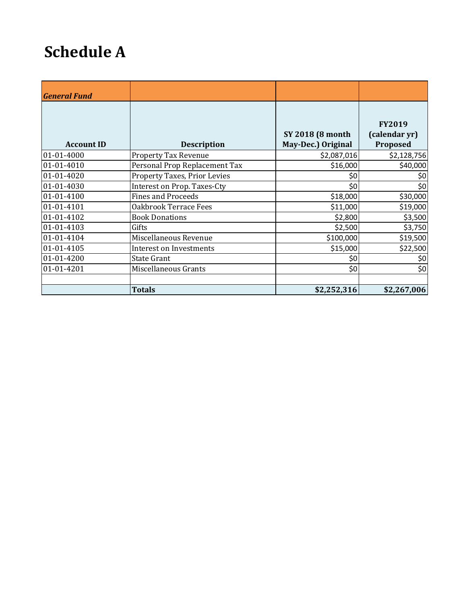## **Schedule A**

| <b>General Fund</b> |                                |                                                |                                            |
|---------------------|--------------------------------|------------------------------------------------|--------------------------------------------|
| <b>Account ID</b>   | <b>Description</b>             | <b>SY 2018 (8 month)</b><br>May-Dec.) Original | <b>FY2019</b><br>(calendar yr)<br>Proposed |
| 01-01-4000          | <b>Property Tax Revenue</b>    | \$2,087,016                                    | \$2,128,756                                |
| 01-01-4010          | Personal Prop Replacement Tax  | \$16,000                                       | \$40,000                                   |
| 01-01-4020          | Property Taxes, Prior Levies   | \$0                                            | \$0                                        |
| 01-01-4030          | Interest on Prop. Taxes-Cty    | \$0                                            | \$0                                        |
| 01-01-4100          | <b>Fines and Proceeds</b>      | \$18,000                                       | \$30,000                                   |
| 01-01-4101          | Oakbrook Terrace Fees          | \$11,000                                       | \$19,000                                   |
| 01-01-4102          | <b>Book Donations</b>          | \$2,800                                        | \$3,500                                    |
| 01-01-4103          | Gifts                          | \$2,500                                        | \$3,750                                    |
| 01-01-4104          | Miscellaneous Revenue          | \$100,000                                      | \$19,500                                   |
| 01-01-4105          | <b>Interest on Investments</b> | \$15,000                                       | \$22,500                                   |
| 01-01-4200          | <b>State Grant</b>             | \$0                                            | \$0                                        |
| 01-01-4201          | Miscellaneous Grants           | \$0                                            | \$0                                        |
|                     | <b>Totals</b>                  | \$2,252,316                                    | \$2,267,006                                |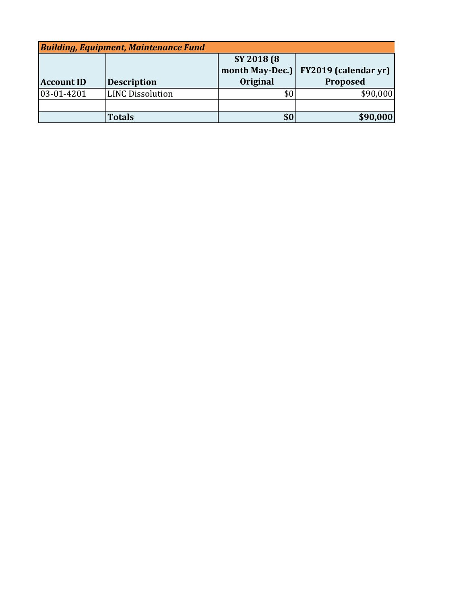| <b>Building, Equipment, Maintenance Fund</b> |                         |                 |                             |
|----------------------------------------------|-------------------------|-----------------|-----------------------------|
|                                              |                         | SY 2018 (8)     |                             |
|                                              |                         | month May-Dec.) | <b>FY2019 (calendar yr)</b> |
| <b>Account ID</b>                            | <b>Description</b>      | Original        | Proposed                    |
| 03-01-4201                                   | <b>LINC Dissolution</b> | \$0             | \$90,000                    |
|                                              |                         |                 |                             |
|                                              | <b>Totals</b>           | \$0             | \$90,000                    |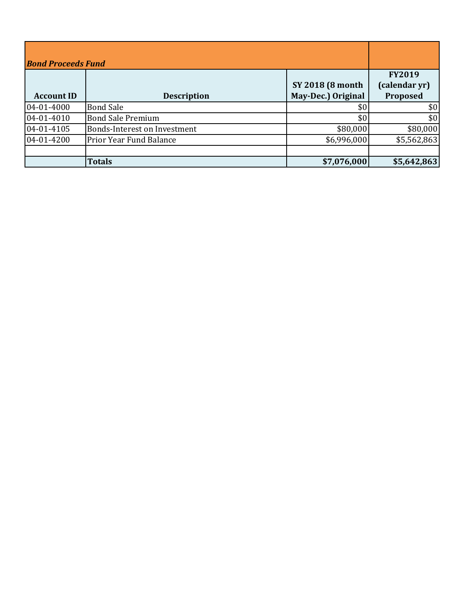| <b>Bond Proceeds Fund</b> |                                     |                                                |                                            |
|---------------------------|-------------------------------------|------------------------------------------------|--------------------------------------------|
| <b>Account ID</b>         | <b>Description</b>                  | <b>SY 2018 (8 month)</b><br>May-Dec.) Original | <b>FY2019</b><br>(calendar yr)<br>Proposed |
| 04-01-4000                | <b>Bond Sale</b>                    | \$0                                            | \$0                                        |
| 04-01-4010                | <b>Bond Sale Premium</b>            | \$0                                            | \$0                                        |
| 04-01-4105                | <b>Bonds-Interest on Investment</b> | \$80,000                                       | \$80,000                                   |
| 04-01-4200                | <b>Prior Year Fund Balance</b>      | \$6,996,000                                    | \$5,562,863                                |
|                           |                                     |                                                |                                            |
|                           | <b>Totals</b>                       | \$7,076,000                                    | \$5,642,863                                |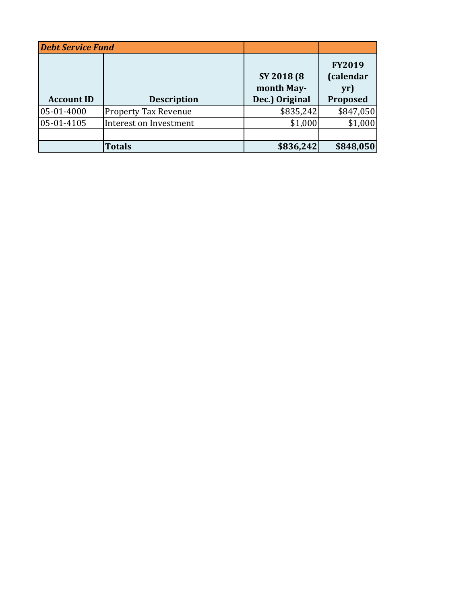| <b>Debt Service Fund</b> |                             |                                             |                                               |
|--------------------------|-----------------------------|---------------------------------------------|-----------------------------------------------|
| <b>Account ID</b>        | <b>Description</b>          | SY 2018 (8)<br>month May-<br>Dec.) Original | <b>FY2019</b><br>(calendar<br>yr)<br>Proposed |
| 05-01-4000               | <b>Property Tax Revenue</b> | \$835,242                                   | \$847,050                                     |
| 05-01-4105               | Interest on Investment      | \$1,000                                     | \$1,000                                       |
|                          |                             |                                             |                                               |
|                          | <b>Totals</b>               | \$836,242                                   | \$848,050                                     |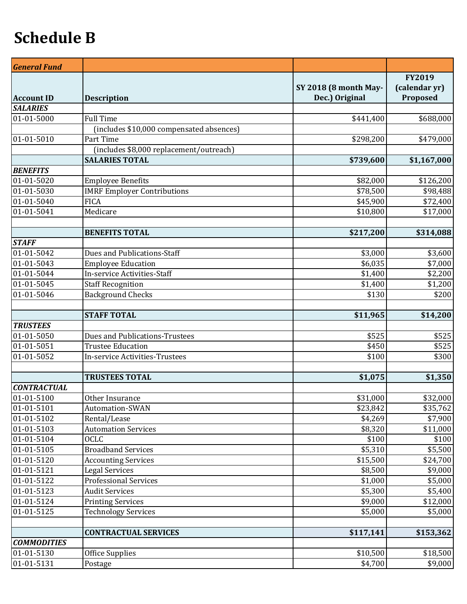## **Schedule B**

| <b>General Fund</b> |                                          |                              |                                |
|---------------------|------------------------------------------|------------------------------|--------------------------------|
|                     |                                          | <b>SY 2018 (8 month May-</b> | <b>FY2019</b><br>(calendar yr) |
| <b>Account ID</b>   | <b>Description</b>                       | Dec.) Original               | Proposed                       |
| <b>SALARIES</b>     |                                          |                              |                                |
| $01 - 01 - 5000$    | <b>Full Time</b>                         | \$441,400                    | \$688,000                      |
|                     | (includes \$10,000 compensated absences) |                              |                                |
| 01-01-5010          | Part Time                                | \$298,200                    | \$479,000                      |
|                     | (includes \$8,000 replacement/outreach)  |                              |                                |
|                     | <b>SALARIES TOTAL</b>                    | \$739,600                    | \$1,167,000                    |
| <b>BENEFITS</b>     |                                          |                              |                                |
| 01-01-5020          | <b>Employee Benefits</b>                 | \$82,000                     | \$126,200                      |
| 01-01-5030          | <b>IMRF Employer Contributions</b>       | \$78,500                     | \$98,488                       |
| 01-01-5040          | <b>FICA</b>                              | \$45,900                     | \$72,400                       |
| 01-01-5041          | Medicare                                 | \$10,800                     | \$17,000                       |
|                     | <b>BENEFITS TOTAL</b>                    | \$217,200                    | \$314,088                      |
| <b>STAFF</b>        |                                          |                              |                                |
| 01-01-5042          | Dues and Publications-Staff              | \$3,000                      | \$3,600                        |
| 01-01-5043          | <b>Employee Education</b>                | \$6,035                      | \$7,000                        |
| 01-01-5044          | <b>In-service Activities-Staff</b>       | \$1,400                      | \$2,200                        |
| 01-01-5045          | <b>Staff Recognition</b>                 | \$1,400                      | \$1,200                        |
| 01-01-5046          | <b>Background Checks</b>                 | \$130                        | \$200                          |
|                     |                                          |                              |                                |
|                     | <b>STAFF TOTAL</b>                       | \$11,965                     | \$14,200                       |
| <b>TRUSTEES</b>     |                                          |                              |                                |
| 01-01-5050          | <b>Dues and Publications-Trustees</b>    | \$525                        | \$525                          |
| 01-01-5051          | <b>Trustee Education</b>                 | \$450                        | \$525                          |
| 01-01-5052          | In-service Activities-Trustees           | \$100                        | \$300                          |
|                     |                                          |                              |                                |
|                     | <b>TRUSTEES TOTAL</b>                    | \$1,075                      | \$1,350                        |
| <b>CONTRACTUAL</b>  |                                          |                              |                                |
| 01-01-5100          | Other Insurance                          | \$31,000                     | \$32,000                       |
| 01-01-5101          | Automation-SWAN                          | \$23,842                     | \$35,762                       |
| 01-01-5102          | Rental/Lease                             | \$4,269                      | \$7,900                        |
| 01-01-5103          | <b>Automation Services</b>               | \$8,320                      | \$11,000                       |
| 01-01-5104          | <b>OCLC</b>                              | \$100                        | \$100                          |
| 01-01-5105          | <b>Broadband Services</b>                | \$5,310                      | \$5,500                        |
| 01-01-5120          | <b>Accounting Services</b>               | \$15,500                     | \$24,700                       |
| 01-01-5121          | <b>Legal Services</b>                    | \$8,500                      | \$9,000                        |
| 01-01-5122          | <b>Professional Services</b>             | \$1,000                      | \$5,000                        |
| 01-01-5123          | <b>Audit Services</b>                    | \$5,300                      | \$5,400                        |
| 01-01-5124          | <b>Printing Services</b>                 | \$9,000                      | \$12,000                       |
| 01-01-5125          | <b>Technology Services</b>               | \$5,000                      | \$5,000                        |
|                     |                                          |                              |                                |
|                     | <b>CONTRACTUAL SERVICES</b>              | \$117,141                    | \$153,362                      |
| <b>COMMODITIES</b>  |                                          |                              |                                |
| 01-01-5130          | <b>Office Supplies</b>                   | \$10,500                     | \$18,500                       |
| 01-01-5131          | Postage                                  | \$4,700                      | \$9,000                        |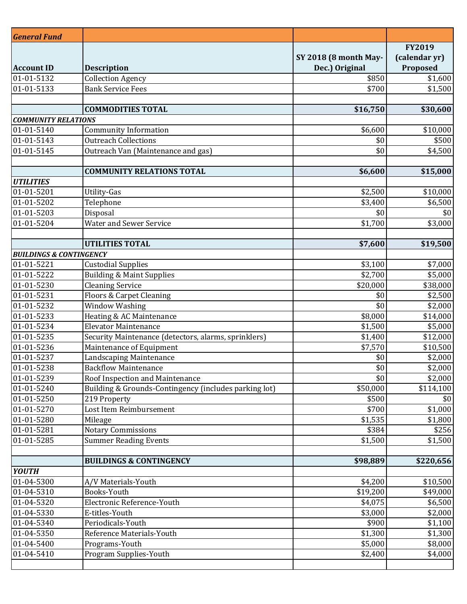| <b>General Fund</b>                |                                                           |                              |                  |
|------------------------------------|-----------------------------------------------------------|------------------------------|------------------|
|                                    |                                                           |                              | <b>FY2019</b>    |
|                                    |                                                           | <b>SY 2018 (8 month May-</b> | (calendar yr)    |
| <b>Account ID</b>                  | <b>Description</b>                                        | Dec.) Original               | Proposed         |
| 01-01-5132                         | <b>Collection Agency</b>                                  | \$850                        | \$1,600          |
| 01-01-5133                         | <b>Bank Service Fees</b>                                  | \$700                        | \$1,500          |
|                                    |                                                           |                              |                  |
|                                    | <b>COMMODITIES TOTAL</b>                                  | \$16,750                     | \$30,600         |
| <b>COMMUNITY RELATIONS</b>         |                                                           |                              |                  |
| 01-01-5140                         | <b>Community Information</b>                              | \$6,600                      | \$10,000         |
| 01-01-5143                         | <b>Outreach Collections</b>                               | \$0                          | \$500            |
| 01-01-5145                         | Outreach Van (Maintenance and gas)                        | \$0                          | \$4,500          |
|                                    | <b>COMMUNITY RELATIONS TOTAL</b>                          |                              |                  |
| <b>UTILITIES</b>                   |                                                           | \$6,600                      | \$15,000         |
| 01-01-5201                         | <b>Utility-Gas</b>                                        | \$2,500                      | \$10,000         |
| 01-01-5202                         | Telephone                                                 | \$3,400                      | \$6,500          |
| 01-01-5203                         | Disposal                                                  | \$0                          | \$0              |
| 01-01-5204                         | <b>Water and Sewer Service</b>                            | \$1,700                      | \$3,000          |
|                                    |                                                           |                              |                  |
|                                    | <b>UTILITIES TOTAL</b>                                    | \$7,600                      | \$19,500         |
| <b>BUILDINGS &amp; CONTINGENCY</b> |                                                           |                              |                  |
| 01-01-5221                         | <b>Custodial Supplies</b>                                 | \$3,100                      | \$7,000          |
| 01-01-5222                         | <b>Building &amp; Maint Supplies</b>                      | \$2,700                      | \$5,000          |
| 01-01-5230                         | <b>Cleaning Service</b>                                   | \$20,000                     | \$38,000         |
| 01-01-5231                         | Floors & Carpet Cleaning                                  | \$0                          | \$2,500          |
| 01-01-5232                         | Window Washing                                            | \$0                          | \$2,000          |
| 01-01-5233                         | Heating & AC Maintenance                                  | \$8,000                      | \$14,000         |
| 01-01-5234                         | <b>Elevator Maintenance</b>                               | \$1,500                      | \$5,000          |
| 01-01-5235                         | Security Maintenance (detectors, alarms, sprinklers)      | \$1,400                      | \$12,000         |
| 01-01-5236                         | Maintenance of Equipment                                  | \$7,570                      | \$10,500         |
| 01-01-5237                         | Landscaping Maintenance                                   | \$0                          | \$2,000          |
| 01-01-5238                         | <b>Backflow Maintenance</b>                               | \$0                          | \$2,000          |
| 01-01-5239                         | Roof Inspection and Maintenance                           | \$0                          | \$2,000          |
| 01-01-5240                         | Building & Grounds-Contingency (includes parking lot)     | \$50,000                     | \$114,100        |
| 01-01-5250                         | 219 Property                                              | \$500                        | \$0              |
| 01-01-5270                         | Lost Item Reimbursement                                   | \$700                        | \$1,000          |
| 01-01-5280<br>01-01-5281           | Mileage                                                   | \$1,535<br>\$384             | \$1,800          |
| 01-01-5285                         | <b>Notary Commissions</b><br><b>Summer Reading Events</b> | \$1,500                      | \$256<br>\$1,500 |
|                                    |                                                           |                              |                  |
|                                    | <b>BUILDINGS &amp; CONTINGENCY</b>                        | \$98,889                     | \$220,656        |
| <b>YOUTH</b>                       |                                                           |                              |                  |
| 01-04-5300                         | A/V Materials-Youth                                       | \$4,200                      | \$10,500         |
| 01-04-5310                         | Books-Youth                                               | \$19,200                     | \$49,000         |
| 01-04-5320                         | Electronic Reference-Youth                                | \$4,075                      | \$6,500          |
| 01-04-5330                         | E-titles-Youth                                            | \$3,000                      | \$2,000          |
| 01-04-5340                         | Periodicals-Youth                                         | \$900                        | \$1,100          |
| 01-04-5350                         | Reference Materials-Youth                                 | \$1,300                      | \$1,300          |
| 01-04-5400                         | Programs-Youth                                            | \$5,000                      | \$8,000          |
| 01-04-5410                         | Program Supplies-Youth                                    | \$2,400                      | \$4,000          |
|                                    |                                                           |                              |                  |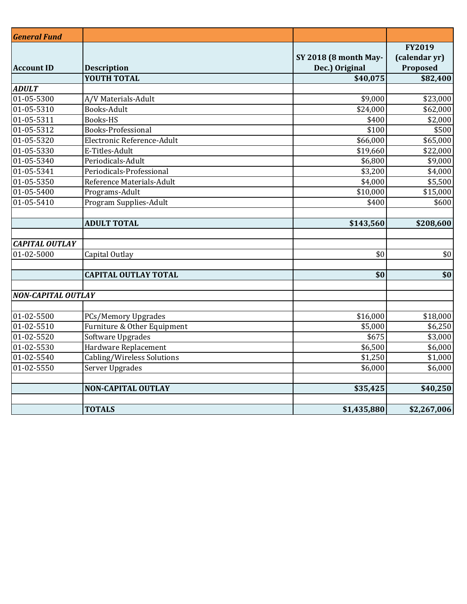| <b>General Fund</b>       |                                   |                              |               |
|---------------------------|-----------------------------------|------------------------------|---------------|
|                           |                                   |                              | FY2019        |
|                           |                                   | <b>SY 2018 (8 month May-</b> | (calendar yr) |
| <b>Account ID</b>         | <b>Description</b>                | Dec.) Original               | Proposed      |
|                           | <b>YOUTH TOTAL</b>                | \$40,075                     | \$82,400      |
| <b>ADULT</b>              |                                   |                              |               |
| 01-05-5300                | A/V Materials-Adult               | \$9,000                      | \$23,000      |
| $01 - 05 - 5310$          | <b>Books-Adult</b>                | $\overline{$}24,000$         | \$62,000      |
| $01 - 05 - 5311$          | <b>Books-HS</b>                   | \$400                        | \$2,000       |
| $01 - 05 - 5312$          | <b>Books-Professional</b>         | \$100                        | \$500         |
| $01 - 05 - 5320$          | Electronic Reference-Adult        | \$66,000                     | \$65,000      |
| 01-05-5330                | E-Titles-Adult                    | \$19,660                     | \$22,000      |
| $\overline{01}$ -05-5340  | Periodicals-Adult                 | \$6,800                      | \$9,000       |
| $01 - 05 - 5341$          | Periodicals-Professional          | \$3,200                      | \$4,000       |
| $01 - 05 - 5350$          | Reference Materials-Adult         | \$4,000                      | \$5,500       |
| $01 - 05 - 5400$          | Programs-Adult                    | \$10,000                     | \$15,000      |
| $01-05-5410$              | <b>Program Supplies-Adult</b>     | \$400                        | \$600         |
|                           |                                   |                              |               |
|                           | <b>ADULT TOTAL</b>                | \$143,560                    | \$208,600     |
|                           |                                   |                              |               |
| <b>CAPITAL OUTLAY</b>     |                                   |                              |               |
| $\overline{01}$ -02-5000  | Capital Outlay                    | \$0                          | \$0           |
|                           |                                   |                              |               |
|                           | <b>CAPITAL OUTLAY TOTAL</b>       | \$0                          | \$0           |
|                           |                                   |                              |               |
| <b>NON-CAPITAL OUTLAY</b> |                                   |                              |               |
| $\overline{01}$ -02-5500  | <b>PCs/Memory Upgrades</b>        | \$16,000                     | \$18,000      |
| $01-02-5510$              | Furniture & Other Equipment       | \$5,000                      | \$6,250       |
| $01-02-5520$              | Software Upgrades                 | \$675                        | \$3,000       |
| $01-02-5530$              | Hardware Replacement              | \$6,500                      | \$6,000       |
| $01-02-5540$              | <b>Cabling/Wireless Solutions</b> | \$1,250                      | \$1,000       |
| $01-02-5550$              | Server Upgrades                   | \$6,000                      | \$6,000       |
|                           |                                   |                              |               |
|                           | <b>NON-CAPITAL OUTLAY</b>         | \$35,425                     | \$40,250      |
|                           |                                   |                              |               |
|                           | <b>TOTALS</b>                     | \$1,435,880                  | \$2,267,006   |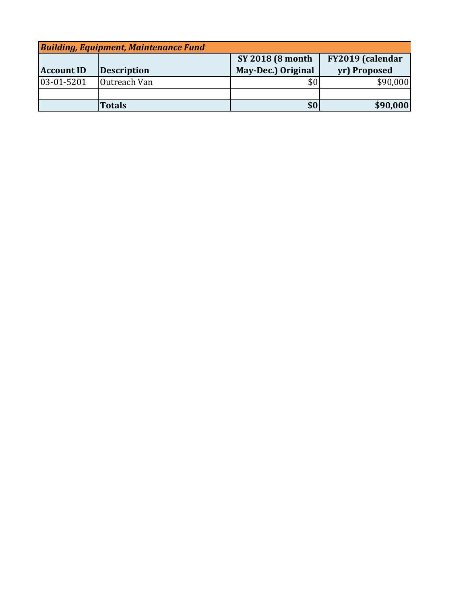| <b>Building, Equipment, Maintenance Fund</b> |                    |                          |                  |
|----------------------------------------------|--------------------|--------------------------|------------------|
|                                              |                    | <b>SY 2018 (8 month)</b> | FY2019 (calendar |
| <b>Account ID</b>                            | <b>Description</b> | May-Dec.) Original       | yr) Proposed     |
| 03-01-5201                                   | Outreach Van       |                          | \$90,000         |
|                                              |                    |                          |                  |
|                                              | <b>Totals</b>      | \$0                      | \$90,000         |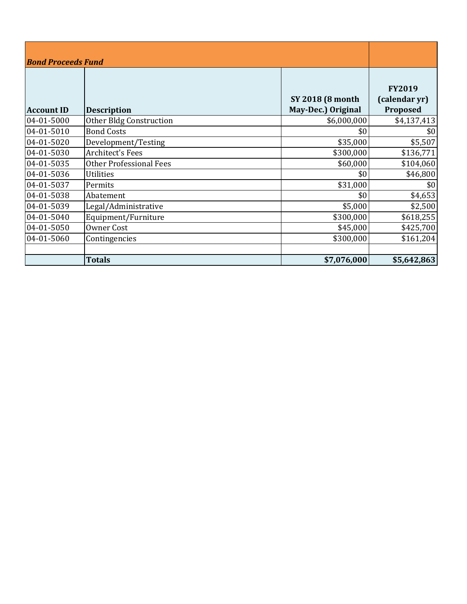| <b>Bond Proceeds Fund</b> |                                |                                                |                                            |
|---------------------------|--------------------------------|------------------------------------------------|--------------------------------------------|
| <b>Account ID</b>         | <b>Description</b>             | <b>SY 2018 (8 month)</b><br>May-Dec.) Original | <b>FY2019</b><br>(calendar yr)<br>Proposed |
| 04-01-5000                | Other Bldg Construction        | \$6,000,000                                    | \$4,137,413                                |
| 04-01-5010                | <b>Bond Costs</b>              | \$0                                            | \$0                                        |
| 04-01-5020                | Development/Testing            | \$35,000                                       | \$5,507                                    |
| 04-01-5030                | <b>Architect's Fees</b>        | \$300,000                                      | \$136,771                                  |
| 04-01-5035                | <b>Other Professional Fees</b> | \$60,000                                       | \$104,060                                  |
| 04-01-5036                | <b>Utilities</b>               | \$0                                            | \$46,800                                   |
| 04-01-5037                | Permits                        | \$31,000                                       | \$0                                        |
| 04-01-5038                | Abatement                      | \$0                                            | \$4,653                                    |
| 04-01-5039                | Legal/Administrative           | \$5,000                                        | \$2,500                                    |
| 04-01-5040                | Equipment/Furniture            | \$300,000                                      | \$618,255                                  |
| 04-01-5050                | Owner Cost                     | \$45,000                                       | \$425,700                                  |
| 04-01-5060                | Contingencies                  | \$300,000                                      | \$161,204                                  |
|                           |                                |                                                |                                            |
|                           | <b>Totals</b>                  | \$7,076,000                                    | \$5,642,863                                |